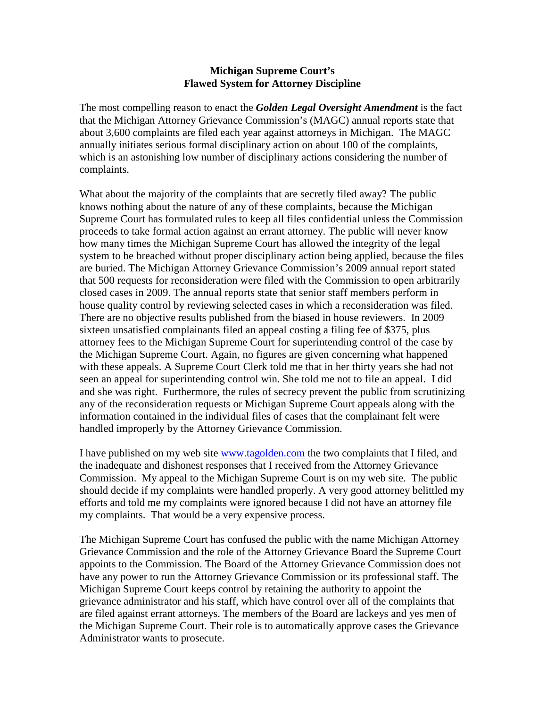## **Michigan Supreme Court's Flawed System for Attorney Discipline**

The most compelling reason to enact the *Golden Legal Oversight Amendment* is the fact that the Michigan Attorney Grievance Commission's (MAGC) annual reports state that about 3,600 complaints are filed each year against attorneys in Michigan. The MAGC annually initiates serious formal disciplinary action on about 100 of the complaints, which is an astonishing low number of disciplinary actions considering the number of complaints.

What about the majority of the complaints that are secretly filed away? The public knows nothing about the nature of any of these complaints, because the Michigan Supreme Court has formulated rules to keep all files confidential unless the Commission proceeds to take formal action against an errant attorney. The public will never know how many times the Michigan Supreme Court has allowed the integrity of the legal system to be breached without proper disciplinary action being applied, because the files are buried. The Michigan Attorney Grievance Commission's 2009 annual report stated that 500 requests for reconsideration were filed with the Commission to open arbitrarily closed cases in 2009. The annual reports state that senior staff members perform in house quality control by reviewing selected cases in which a reconsideration was filed. There are no objective results published from the biased in house reviewers. In 2009 sixteen unsatisfied complainants filed an appeal costing a filing fee of \$375, plus attorney fees to the Michigan Supreme Court for superintending control of the case by the Michigan Supreme Court. Again, no figures are given concerning what happened with these appeals. A Supreme Court Clerk told me that in her thirty years she had not seen an appeal for superintending control win. She told me not to file an appeal. I did and she was right. Furthermore, the rules of secrecy prevent the public from scrutinizing any of the reconsideration requests or Michigan Supreme Court appeals along with the information contained in the individual files of cases that the complainant felt were handled improperly by the Attorney Grievance Commission.

I have published on my web site [www.tagolden.com](http://www.tagolden.com/) the two complaints that I filed, and the inadequate and dishonest responses that I received from the Attorney Grievance Commission. My appeal to the Michigan Supreme Court is on my web site. The public should decide if my complaints were handled properly. A very good attorney belittled my efforts and told me my complaints were ignored because I did not have an attorney file my complaints. That would be a very expensive process.

The Michigan Supreme Court has confused the public with the name Michigan Attorney Grievance Commission and the role of the Attorney Grievance Board the Supreme Court appoints to the Commission. The Board of the Attorney Grievance Commission does not have any power to run the Attorney Grievance Commission or its professional staff. The Michigan Supreme Court keeps control by retaining the authority to appoint the grievance administrator and his staff, which have control over all of the complaints that are filed against errant attorneys. The members of the Board are lackeys and yes men of the Michigan Supreme Court. Their role is to automatically approve cases the Grievance Administrator wants to prosecute.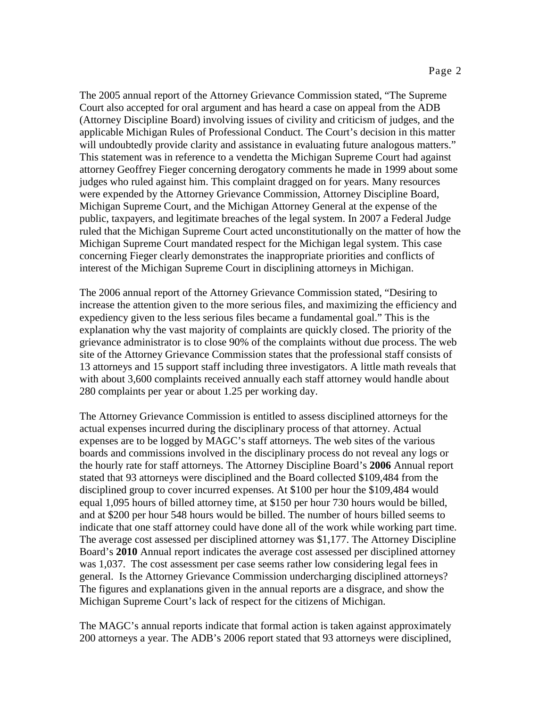The 2005 annual report of the Attorney Grievance Commission stated, "The Supreme Court also accepted for oral argument and has heard a case on appeal from the ADB (Attorney Discipline Board) involving issues of civility and criticism of judges, and the applicable Michigan Rules of Professional Conduct. The Court's decision in this matter will undoubtedly provide clarity and assistance in evaluating future analogous matters." This statement was in reference to a vendetta the Michigan Supreme Court had against attorney Geoffrey Fieger concerning derogatory comments he made in 1999 about some judges who ruled against him. This complaint dragged on for years. Many resources were expended by the Attorney Grievance Commission, Attorney Discipline Board, Michigan Supreme Court, and the Michigan Attorney General at the expense of the public, taxpayers, and legitimate breaches of the legal system. In 2007 a Federal Judge ruled that the Michigan Supreme Court acted unconstitutionally on the matter of how the Michigan Supreme Court mandated respect for the Michigan legal system. This case concerning Fieger clearly demonstrates the inappropriate priorities and conflicts of interest of the Michigan Supreme Court in disciplining attorneys in Michigan.

The 2006 annual report of the Attorney Grievance Commission stated, "Desiring to increase the attention given to the more serious files, and maximizing the efficiency and expediency given to the less serious files became a fundamental goal." This is the explanation why the vast majority of complaints are quickly closed. The priority of the grievance administrator is to close 90% of the complaints without due process. The web site of the Attorney Grievance Commission states that the professional staff consists of 13 attorneys and 15 support staff including three investigators. A little math reveals that with about 3,600 complaints received annually each staff attorney would handle about 280 complaints per year or about 1.25 per working day.

The Attorney Grievance Commission is entitled to assess disciplined attorneys for the actual expenses incurred during the disciplinary process of that attorney. Actual expenses are to be logged by MAGC's staff attorneys. The web sites of the various boards and commissions involved in the disciplinary process do not reveal any logs or the hourly rate for staff attorneys. The Attorney Discipline Board's **2006** Annual report stated that 93 attorneys were disciplined and the Board collected \$109,484 from the disciplined group to cover incurred expenses. At \$100 per hour the \$109,484 would equal 1,095 hours of billed attorney time, at \$150 per hour 730 hours would be billed, and at \$200 per hour 548 hours would be billed. The number of hours billed seems to indicate that one staff attorney could have done all of the work while working part time. The average cost assessed per disciplined attorney was \$1,177. The Attorney Discipline Board's **2010** Annual report indicates the average cost assessed per disciplined attorney was 1,037. The cost assessment per case seems rather low considering legal fees in general. Is the Attorney Grievance Commission undercharging disciplined attorneys? The figures and explanations given in the annual reports are a disgrace, and show the Michigan Supreme Court's lack of respect for the citizens of Michigan.

The MAGC's annual reports indicate that formal action is taken against approximately 200 attorneys a year. The ADB's 2006 report stated that 93 attorneys were disciplined,